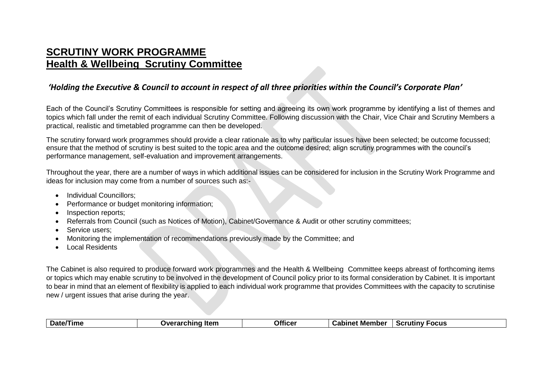## **SCRUTINY WORK PROGRAMME Health & Wellbeing Scrutiny Committee**

## *'Holding the Executive & Council to account in respect of all three priorities within the Council's Corporate Plan'*

Each of the Council's Scrutiny Committees is responsible for setting and agreeing its own work programme by identifying a list of themes and topics which fall under the remit of each individual Scrutiny Committee. Following discussion with the Chair, Vice Chair and Scrutiny Members a practical, realistic and timetabled programme can then be developed.

The scrutiny forward work programmes should provide a clear rationale as to why particular issues have been selected; be outcome focussed; ensure that the method of scrutiny is best suited to the topic area and the outcome desired; align scrutiny programmes with the council's performance management, self-evaluation and improvement arrangements.

Throughout the year, there are a number of ways in which additional issues can be considered for inclusion in the Scrutiny Work Programme and ideas for inclusion may come from a number of sources such as:-

- Individual Councillors:
- Performance or budget monitoring information;
- Inspection reports:
- Referrals from Council (such as Notices of Motion), Cabinet/Governance & Audit or other scrutiny committees;
- Service users:
- Monitoring the implementation of recommendations previously made by the Committee; and
- Local Residents

The Cabinet is also required to produce forward work programmes and the Health & Wellbeing Committee keeps abreast of forthcoming items or topics which may enable scrutiny to be involved in the development of Council policy prior to its formal consideration by Cabinet. It is important to bear in mind that an element of flexibility is applied to each individual work programme that provides Committees with the capacity to scrutinise new / urgent issues that arise during the year.

| <b>Officer</b><br>Date/Time<br><b>Overarching Item</b><br><b>Cabinet Member</b><br><b>Scrutiny Focus</b> |  |
|----------------------------------------------------------------------------------------------------------|--|
|----------------------------------------------------------------------------------------------------------|--|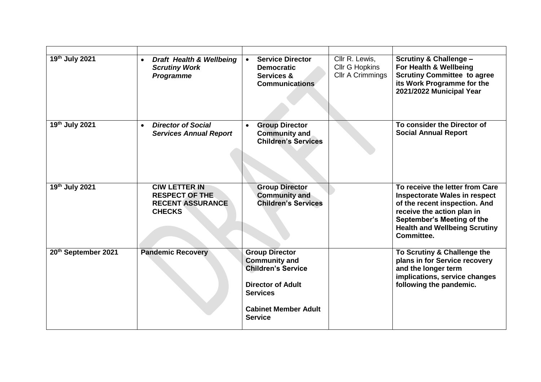| 19th July 2021      | <b>Draft Health &amp; Wellbeing</b><br>$\bullet$<br><b>Scrutiny Work</b><br><b>Programme</b> | <b>Service Director</b><br><b>Democratic</b><br>Services &<br><b>Communications</b>                                                                                        | Cllr R. Lewis,<br><b>Cllr G Hopkins</b><br>Cllr A Crimmings | <b>Scrutiny &amp; Challenge -</b><br>For Health & Wellbeing<br><b>Scrutiny Committee to agree</b><br>its Work Programme for the<br>2021/2022 Municipal Year                                                                |
|---------------------|----------------------------------------------------------------------------------------------|----------------------------------------------------------------------------------------------------------------------------------------------------------------------------|-------------------------------------------------------------|----------------------------------------------------------------------------------------------------------------------------------------------------------------------------------------------------------------------------|
| 19th July 2021      | <b>Director of Social</b><br><b>Services Annual Report</b>                                   | <b>Group Director</b><br><b>Community and</b><br><b>Children's Services</b>                                                                                                |                                                             | To consider the Director of<br><b>Social Annual Report</b>                                                                                                                                                                 |
| 19th July 2021      | <b>CIW LETTER IN</b><br><b>RESPECT OF THE</b><br><b>RECENT ASSURANCE</b><br><b>CHECKS</b>    | <b>Group Director</b><br><b>Community and</b><br><b>Children's Services</b>                                                                                                |                                                             | To receive the letter from Care<br><b>Inspectorate Wales in respect</b><br>of the recent inspection. And<br>receive the action plan in<br>September's Meeting of the<br><b>Health and Wellbeing Scrutiny</b><br>Committee. |
| 20th September 2021 | <b>Pandemic Recovery</b>                                                                     | <b>Group Director</b><br><b>Community and</b><br><b>Children's Service</b><br><b>Director of Adult</b><br><b>Services</b><br><b>Cabinet Member Adult</b><br><b>Service</b> |                                                             | To Scrutiny & Challenge the<br>plans in for Service recovery<br>and the longer term<br>implications, service changes<br>following the pandemic.                                                                            |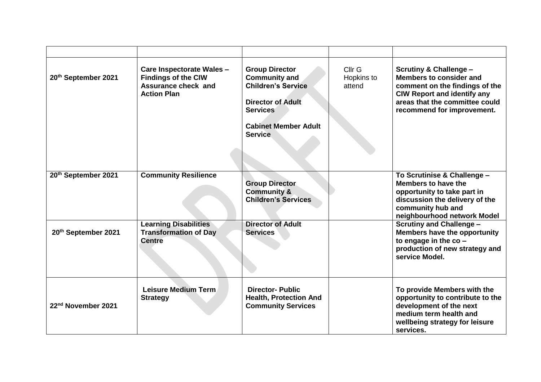| 20th September 2021            | Care Inspectorate Wales -<br><b>Findings of the CIW</b><br>Assurance check and<br><b>Action Plan</b> | <b>Group Director</b><br><b>Community and</b><br><b>Children's Service</b><br><b>Director of Adult</b><br><b>Services</b><br><b>Cabinet Member Adult</b><br><b>Service</b> | Cllr G<br>Hopkins to<br>attend | <b>Scrutiny &amp; Challenge -</b><br>Members to consider and<br>comment on the findings of the<br><b>CIW Report and identify any</b><br>areas that the committee could<br>recommend for improvement. |
|--------------------------------|------------------------------------------------------------------------------------------------------|----------------------------------------------------------------------------------------------------------------------------------------------------------------------------|--------------------------------|------------------------------------------------------------------------------------------------------------------------------------------------------------------------------------------------------|
| 20th September 2021            | <b>Community Resilience</b>                                                                          | <b>Group Director</b><br><b>Community &amp;</b><br><b>Children's Services</b>                                                                                              |                                | To Scrutinise & Challenge -<br>Members to have the<br>opportunity to take part in<br>discussion the delivery of the<br>community hub and<br>neighbourhood network Model                              |
| 20th September 2021            | <b>Learning Disabilities</b><br><b>Transformation of Day</b><br><b>Centre</b>                        | <b>Director of Adult</b><br><b>Services</b>                                                                                                                                |                                | <b>Scrutiny and Challenge -</b><br>Members have the opportunity<br>to engage in the $co$ -<br>production of new strategy and<br>service Model.                                                       |
| 22 <sup>nd</sup> November 2021 | Leisure Medium Term<br><b>Strategy</b>                                                               | <b>Director- Public</b><br><b>Health, Protection And</b><br><b>Community Services</b>                                                                                      |                                | To provide Members with the<br>opportunity to contribute to the<br>development of the next<br>medium term health and<br>wellbeing strategy for leisure<br>services.                                  |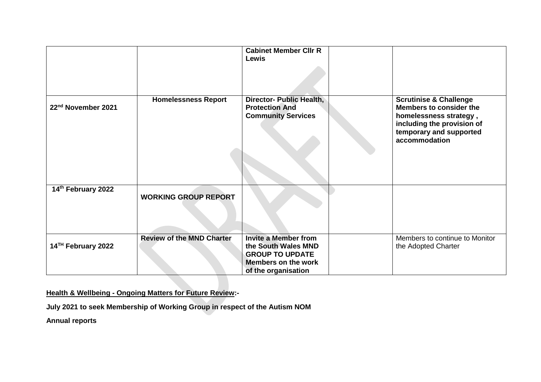|                                |                                  | <b>Cabinet Member CIIr R</b><br><b>Lewis</b>                                                                                      |                                                                                                                                                                  |
|--------------------------------|----------------------------------|-----------------------------------------------------------------------------------------------------------------------------------|------------------------------------------------------------------------------------------------------------------------------------------------------------------|
| 22 <sup>nd</sup> November 2021 | <b>Homelessness Report</b>       | Director- Public Health,<br><b>Protection And</b><br><b>Community Services</b>                                                    | <b>Scrutinise &amp; Challenge</b><br>Members to consider the<br>homelessness strategy,<br>including the provision of<br>temporary and supported<br>accommodation |
| 14th February 2022             | <b>WORKING GROUP REPORT</b>      |                                                                                                                                   |                                                                                                                                                                  |
| 14 <sup>TH</sup> February 2022 | <b>Review of the MND Charter</b> | <b>Invite a Member from</b><br>the South Wales MND<br><b>GROUP TO UPDATE</b><br><b>Members on the work</b><br>of the organisation | Members to continue to Monitor<br>the Adopted Charter                                                                                                            |

**Health & Wellbeing - Ongoing Matters for Future Review:-**

**July 2021 to seek Membership of Working Group in respect of the Autism NOM** 

**Annual reports**